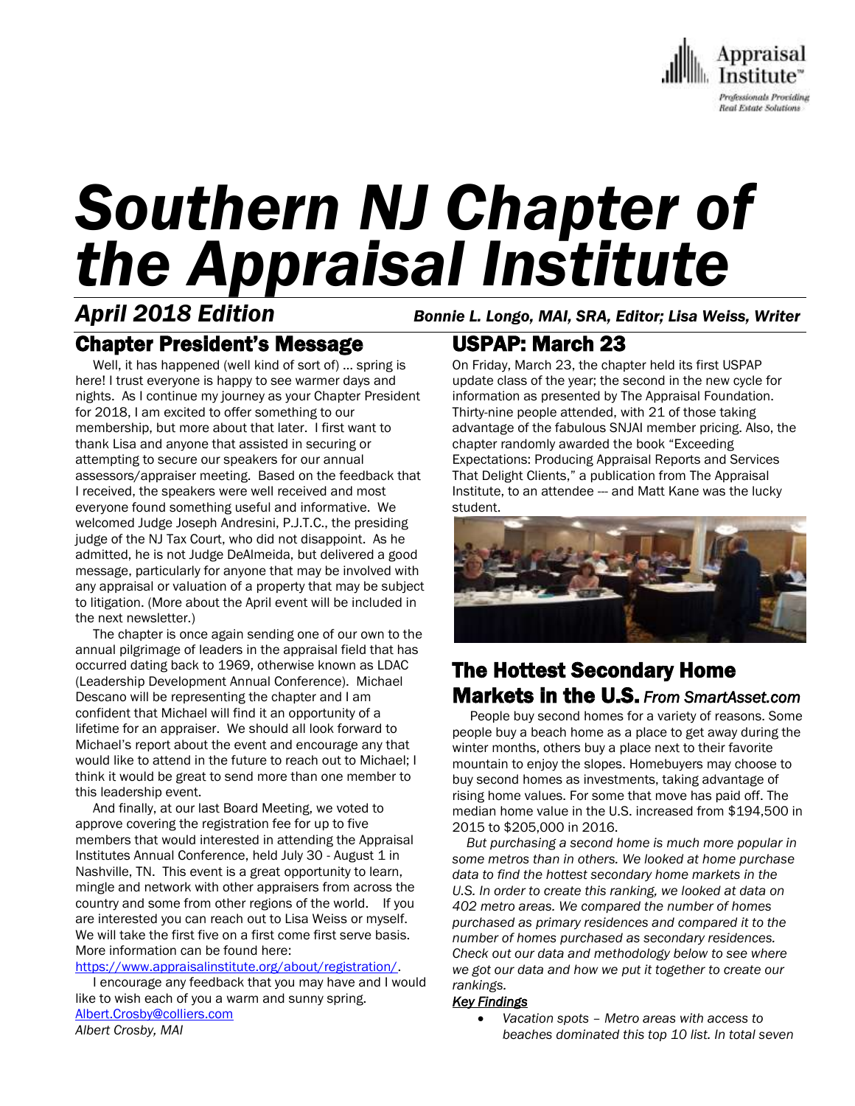

# *Southern NJ Chapter of the Appraisal Institute*

## Chapter President's Message

 Well, it has happened (well kind of sort of) … spring is here! I trust everyone is happy to see warmer days and nights. As I continue my journey as your Chapter President for 2018, I am excited to offer something to our membership, but more about that later. I first want to thank Lisa and anyone that assisted in securing or attempting to secure our speakers for our annual assessors/appraiser meeting. Based on the feedback that I received, the speakers were well received and most everyone found something useful and informative. We welcomed Judge Joseph Andresini, P.J.T.C., the presiding judge of the NJ Tax Court, who did not disappoint. As he admitted, he is not Judge DeAlmeida, but delivered a good message, particularly for anyone that may be involved with any appraisal or valuation of a property that may be subject to litigation. (More about the April event will be included in the next newsletter.)

 The chapter is once again sending one of our own to the annual pilgrimage of leaders in the appraisal field that has occurred dating back to 1969, otherwise known as LDAC (Leadership Development Annual Conference). Michael Descano will be representing the chapter and I am confident that Michael will find it an opportunity of a lifetime for an appraiser. We should all look forward to Michael's report about the event and encourage any that would like to attend in the future to reach out to Michael; I think it would be great to send more than one member to this leadership event.

 And finally, at our last Board Meeting, we voted to approve covering the registration fee for up to five members that would interested in attending the Appraisal Institutes Annual Conference, held July 30 - August 1 in Nashville, TN. This event is a great opportunity to learn, mingle and network with other appraisers from across the country and some from other regions of the world. If you are interested you can reach out to Lisa Weiss or myself. We will take the first five on a first come first serve basis. More information can be found here:

[https://www.appraisalinstitute.org/about/registration/.](https://www.appraisalinstitute.org/about/registration/)

 I encourage any feedback that you may have and I would like to wish each of you a warm and sunny spring. [Albert.Crosby@colliers.com](mailto:Albert.Crosby@colliers.com) *Albert Crosby, MAI*

*April 2018 Edition Bonnie L. Longo, MAI, SRA, Editor; Lisa Weiss, Writer*

## USPAP: March 23

On Friday, March 23, the chapter held its first USPAP update class of the year; the second in the new cycle for information as presented by The Appraisal Foundation. Thirty-nine people attended, with 21 of those taking advantage of the fabulous SNJAI member pricing. Also, the chapter randomly awarded the book "Exceeding Expectations: Producing Appraisal Reports and Services That Delight Clients," a publication from The Appraisal Institute, to an attendee --- and Matt Kane was the lucky student.



## The Hottest Secondary Home Markets in the U.S. *From SmartAsset.com*

 People buy second homes for a variety of reasons. Some people buy a beach home as a place to get away during the winter months, others buy a place next to their favorite mountain to enjoy the slopes. Homebuyers may choose to buy second homes as investments, taking advantage of rising home values. For some that move has paid off. The median home value in the U.S. increased from \$194,500 in 2015 to \$205,000 in 2016.

 *But purchasing a second home is much more popular in some metros than in others. We looked at home purchase data to find the hottest secondary home markets in the U.S. In order to create this ranking, we looked at data on 402 metro areas. We compared the number of homes purchased as primary residences and compared it to the number of homes purchased as secondary residences. Check out our data and methodology below to see where we got our data and how we put it together to create our rankings.*

#### *Key Findings*

 *Vacation spots – Metro areas with access to beaches dominated this top 10 list. In total seven*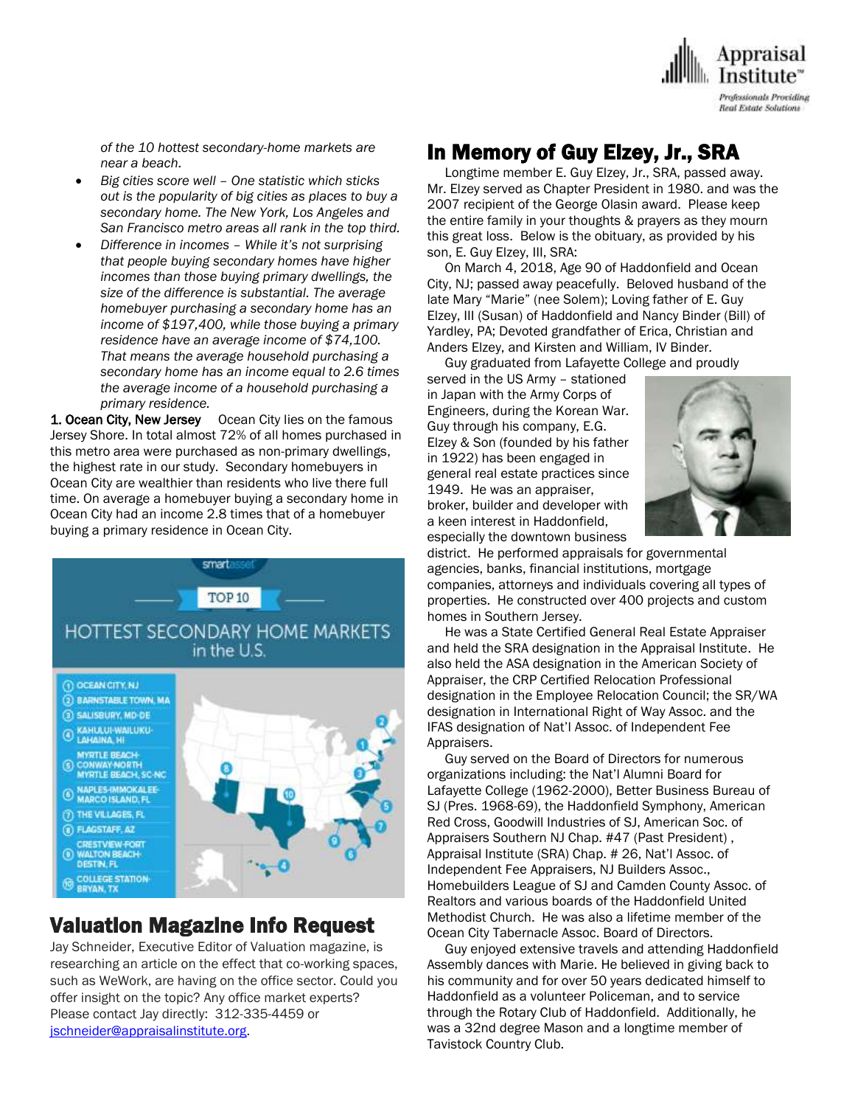

*of the 10 hottest secondary-home markets are near a beach.*

- *Big cities score well – One statistic which sticks out is the popularity of big cities as places to buy a secondary home. The New York, Los Angeles and San Francisco metro areas all rank in the top third.*
- *Difference in incomes – While it's not surprising that people buying secondary homes have higher incomes than those buying primary dwellings, the size of the difference is substantial. The average homebuyer purchasing a secondary home has an income of \$197,400, while those buying a primary residence have an average income of \$74,100. That means the average household purchasing a secondary home has an income equal to 2.6 times the average income of a household purchasing a primary residence.*

1. Ocean City, New Jersey Ocean City lies on the famous Jersey Shore. In total almost 72% of all homes purchased in this metro area were purchased as non-primary dwellings, the highest rate in our study. Secondary homebuyers in Ocean City are wealthier than residents who live there full time. On average a homebuyer buying a secondary home in Ocean City had an income 2.8 times that of a homebuyer buying a primary residence in Ocean City.



## Valuation Magazine Info Request

Jay Schneider, Executive Editor of Valuation magazine, is researching an article on the effect that co-working spaces, such as WeWork, are having on the office sector. Could you offer insight on the topic? Any office market experts? Please contact Jay directly: 312-335-4459 or [jschneider@appraisalinstitute.org.](mailto:jschneider@appraisalinstitute.org)

## In Memory of Guy Elzey, Jr., SRA

 Longtime member E. Guy Elzey, Jr., SRA, passed away. Mr. Elzey served as Chapter President in 1980. and was the 2007 recipient of the George Olasin award. Please keep the entire family in your thoughts & prayers as they mourn this great loss. Below is the obituary, as provided by his son, E. Guy Elzey, III, SRA:

 On March 4, 2018, Age 90 of Haddonfield and Ocean City, NJ; passed away peacefully. Beloved husband of the late Mary "Marie" (nee Solem); Loving father of E. Guy Elzey, III (Susan) of Haddonfield and Nancy Binder (Bill) of Yardley, PA; Devoted grandfather of Erica, Christian and Anders Elzey, and Kirsten and William, IV Binder.

 Guy graduated from Lafayette College and proudly served in the US Army – stationed in Japan with the Army Corps of Engineers, during the Korean War. Guy through his company, E.G. Elzey & Son (founded by his father in 1922) has been engaged in general real estate practices since 1949. He was an appraiser, broker, builder and developer with a keen interest in Haddonfield, especially the downtown business



district. He performed appraisals for governmental agencies, banks, financial institutions, mortgage companies, attorneys and individuals covering all types of properties. He constructed over 400 projects and custom homes in Southern Jersey.

 He was a State Certified General Real Estate Appraiser and held the SRA designation in the Appraisal Institute. He also held the ASA designation in the American Society of Appraiser, the CRP Certified Relocation Professional designation in the Employee Relocation Council; the SR/WA designation in International Right of Way Assoc. and the IFAS designation of Nat'l Assoc. of Independent Fee Appraisers.

 Guy served on the Board of Directors for numerous organizations including: the Nat'l Alumni Board for Lafayette College (1962-2000), Better Business Bureau of SJ (Pres. 1968-69), the Haddonfield Symphony, American Red Cross, Goodwill Industries of SJ, American Soc. of Appraisers Southern NJ Chap. #47 (Past President) , Appraisal Institute (SRA) Chap. # 26, Nat'l Assoc. of Independent Fee Appraisers, NJ Builders Assoc., Homebuilders League of SJ and Camden County Assoc. of Realtors and various boards of the Haddonfield United Methodist Church. He was also a lifetime member of the Ocean City Tabernacle Assoc. Board of Directors.

 Guy enjoyed extensive travels and attending Haddonfield Assembly dances with Marie. He believed in giving back to his community and for over 50 years dedicated himself to Haddonfield as a volunteer Policeman, and to service through the Rotary Club of Haddonfield. Additionally, he was a 32nd degree Mason and a longtime member of Tavistock Country Club.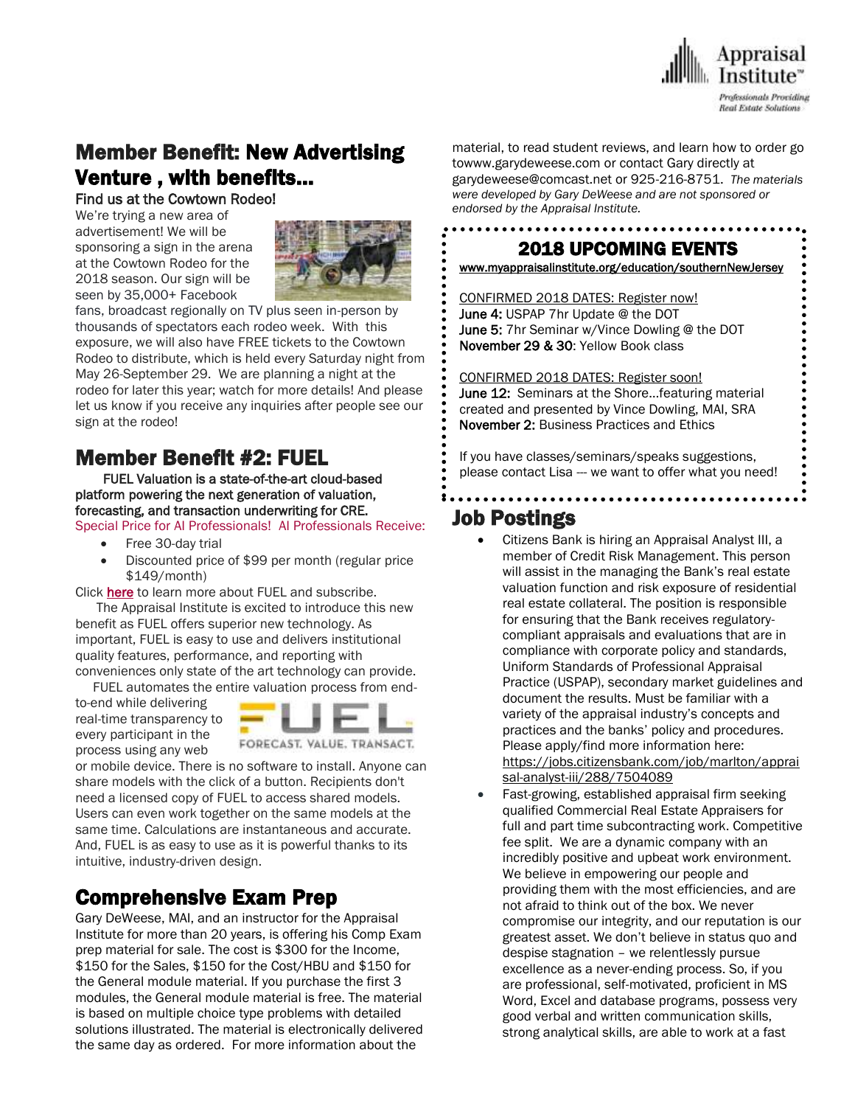

# Member Benefit: New Advertising Venture , with benefits…

#### Find us at the Cowtown Rodeo!

We're trying a new area of advertisement! We will be sponsoring a sign in the arena at the Cowtown Rodeo for the 2018 season. Our sign will be seen by 35,000+ Facebook



fans, broadcast regionally on TV plus seen in-person by thousands of spectators each rodeo week. With this exposure, we will also have FREE tickets to the Cowtown Rodeo to distribute, which is held every Saturday night from May 26-September 29. We are planning a night at the rodeo for later this year; watch for more details! And please let us know if you receive any inquiries after people see our sign at the rodeo!

## Member Benefit #2: FUEL

 FUEL Valuation is a state-of-the-art cloud-based platform powering the next generation of valuation, forecasting, and transaction underwriting for CRE.

Special Price for AI Professionals! AI Professionals Receive:

- Free 30-day trial
- Discounted price of \$99 per month (regular price \$149/month)

Click [here](http://send.appraisalinstitute.org/link.cfm?r=b0cu52FEpQ5beQ1mo2g1Ag~~&pe=ll8nnMli7VLl1mhcBY7mNymwqB5-Hk_rH79AyYFa2jUNRJ1qk0nto9QBjFi-yW9N3sWLchE1snRVh3ijYd-cuQ~~&t=vGC2FJLOY-Ao4P8zp0-oeA~~) to learn more about FUEL and subscribe.

 The Appraisal Institute is excited to introduce this new benefit as FUEL offers superior new technology. As important, FUEL is easy to use and delivers institutional quality features, performance, and reporting with conveniences only state of the art technology can provide.

FUEL automates the entire valuation process from end-

to-end while delivering real-time transparency to every participant in the process using any web



or mobile device. There is no software to install. Anyone can share models with the click of a button. Recipients don't need a licensed copy of FUEL to access shared models. Users can even work together on the same models at the same time. Calculations are instantaneous and accurate. And, FUEL is as easy to use as it is powerful thanks to its intuitive, industry-driven design.

## Comprehensive Exam Prep

Gary DeWeese, MAI, and an instructor for the Appraisal Institute for more than 20 years, is offering his Comp Exam prep material for sale. The cost is \$300 for the Income, \$150 for the Sales, \$150 for the Cost/HBU and \$150 for the General module material. If you purchase the first 3 modules, the General module material is free. The material is based on multiple choice type problems with detailed solutions illustrated. The material is electronically delivered the same day as ordered. For more information about the

material, to read student reviews, and learn how to order go towww.garydeweese.com or contact Gary directly at garydeweese@comcast.net or 925-216-8751. *The materials were developed by Gary DeWeese and are not sponsored or endorsed by the Appraisal Institute.*

#### 2018 UPCOMING EVENTS

[www.myappraisalinstitute.org/education/southernNewJersey](http://www.myappraisalinstitute.org/education/southernNewJersey)

 CONFIRMED 2018 DATES: Register now! June 4: USPAP 7hr Update @ the DOT June 5: 7hr Seminar w/Vince Dowling @ the DOT November 29 & 30: Yellow Book class

 CONFIRMED 2018 DATES: Register soon! June 12: Seminars at the Shore...featuring material created and presented by Vince Dowling, MAI, SRA November 2: Business Practices and Ethics

 If you have classes/seminars/speaks suggestions, please contact Lisa --- we want to offer what you need!

## $\overline{\phantom{a}}$ Job Postings

- Citizens Bank is hiring an Appraisal Analyst III, a member of Credit Risk Management. This person will assist in the managing the Bank's real estate valuation function and risk exposure of residential real estate collateral. The position is responsible for ensuring that the Bank receives regulatorycompliant appraisals and evaluations that are in compliance with corporate policy and standards, Uniform Standards of Professional Appraisal Practice (USPAP), secondary market guidelines and document the results. Must be familiar with a variety of the appraisal industry's concepts and practices and the banks' policy and procedures. Please apply/find more information here: [https://jobs.citizensbank.com/job/marlton/apprai](https://jobs.citizensbank.com/job/marlton/appraisal-analyst-iii/288/7504089) [sal-analyst-iii/288/7504089](https://jobs.citizensbank.com/job/marlton/appraisal-analyst-iii/288/7504089)
- Fast-growing, established appraisal firm seeking qualified Commercial Real Estate Appraisers for full and part time subcontracting work. Competitive fee split. We are a dynamic company with an incredibly positive and upbeat work environment. We believe in empowering our people and providing them with the most efficiencies, and are not afraid to think out of the box. We never compromise our integrity, and our reputation is our greatest asset. We don't believe in status quo and despise stagnation – we relentlessly pursue excellence as a never-ending process. So, if you are professional, self-motivated, proficient in MS Word, Excel and database programs, possess very good verbal and written communication skills, strong analytical skills, are able to work at a fast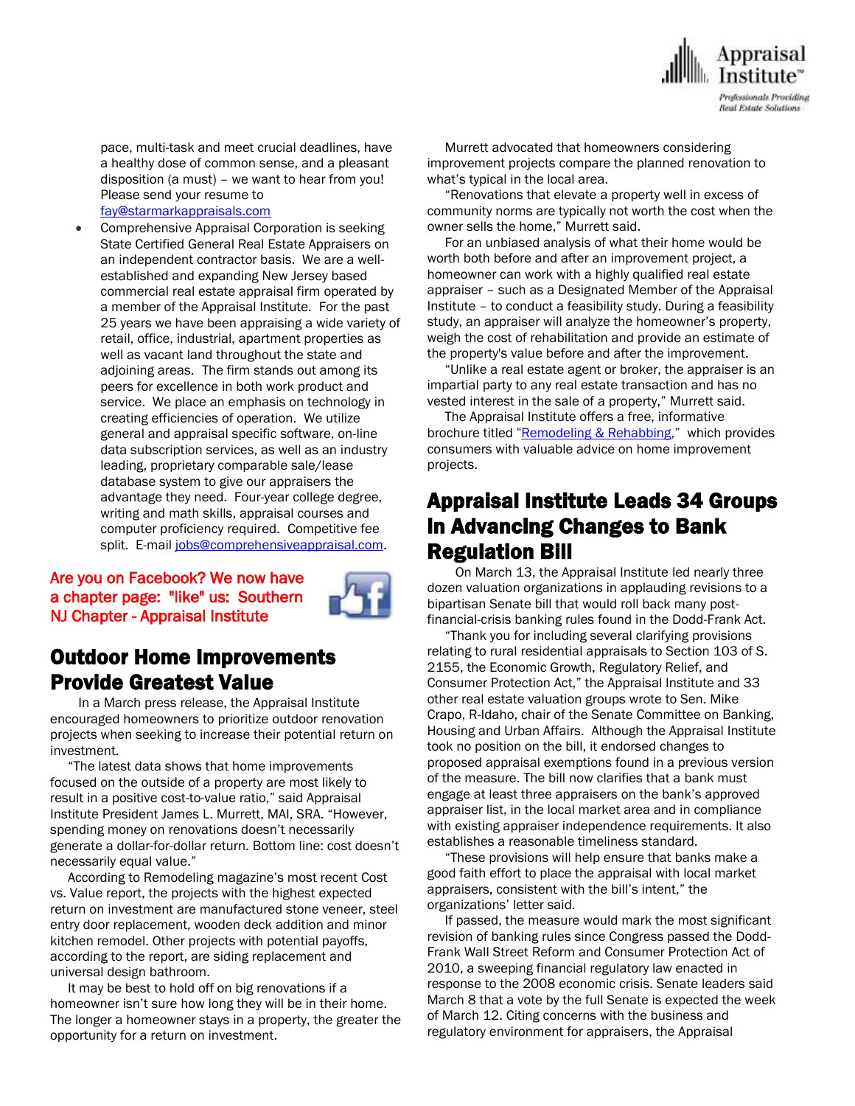

pace, multi-task and meet crucial deadlines, have a healthy dose of common sense, and a pleasant disposition (a must) – we want to hear from you! Please send your resume to

[fay@starmarkappraisals.com](mailto:fay@starmarkappraisals.com)

 Comprehensive Appraisal Corporation is seeking State Certified General Real Estate Appraisers on an independent contractor basis. We are a wellestablished and expanding New Jersey based commercial real estate appraisal firm operated by a member of the Appraisal Institute. For the past 25 years we have been appraising a wide variety of retail, office, industrial, apartment properties as well as vacant land throughout the state and adjoining areas. The firm stands out among its peers for excellence in both work product and service. We place an emphasis on technology in creating efficiencies of operation. We utilize general and appraisal specific software, on-line data subscription services, as well as an industry leading, proprietary comparable sale/lease database system to give our appraisers the advantage they need. Four-year college degree, writing and math skills, appraisal courses and computer proficiency required. Competitive fee split. E-mai[l jobs@comprehensiveappraisal.com.](mailto:jobs@comprehensiveappraisal.com)

Are you on Facebook? We now have a chapter page: "like" us: Southern NJ Chapter - Appraisal Institute



### Outdoor Home Improvements Provide Greatest Value

 In a March press release, the Appraisal Institute encouraged homeowners to prioritize outdoor renovation projects when seeking to increase their potential return on investment.

 "The latest data shows that home improvements focused on the outside of a property are most likely to result in a positive cost-to-value ratio," said Appraisal Institute President James L. Murrett, MAI, SRA. "However, spending money on renovations doesn't necessarily generate a dollar-for-dollar return. Bottom line: cost doesn't necessarily equal value."

 According to Remodeling magazine's most recent Cost vs. Value report, the projects with the highest expected return on investment are manufactured stone veneer, steel entry door replacement, wooden deck addition and minor kitchen remodel. Other projects with potential payoffs, according to the report, are siding replacement and universal design bathroom.

 It may be best to hold off on big renovations if a homeowner isn't sure how long they will be in their home. The longer a homeowner stays in a property, the greater the opportunity for a return on investment.

 Murrett advocated that homeowners considering improvement projects compare the planned renovation to what's typical in the local area.

 "Renovations that elevate a property well in excess of community norms are typically not worth the cost when the owner sells the home," Murrett said.

 For an unbiased analysis of what their home would be worth both before and after an improvement project, a homeowner can work with a highly qualified real estate appraiser – such as a Designated Member of the Appraisal Institute – to conduct a feasibility study. During a feasibility study, an appraiser will analyze the homeowner's property, weigh the cost of rehabilitation and provide an estimate of the property's value before and after the improvement.

 "Unlike a real estate agent or broker, the appraiser is an impartial party to any real estate transaction and has no vested interest in the sale of a property," Murrett said.

 The Appraisal Institute offers a free, informative brochure titled "[Remodeling & Rehabbing](http://email.prnewswire.com/wf/click?upn=hQPTvM7kmxKCxsdOmvrSxElrh2HOzmAs6nfX8FZccNoWWi08LbYebFcASHj4Dui6TRNfoxe1GrAufGP169WKnKaAbSFJ8Z3Ew0gg-2BCNm2BRUKvLH6ts3rKCI94RZG7xupq5SqghOlkiNUG2Qsrf4h8Oepe41gwDIPo7q7-2B1wUtGTLTXFlNsdAnC1UsbnjAtjlgfeX22LDjKafcvo9Cigp6gK824xZWKZ5gYOxhHM3lWEsW-2B7HOblpJl2rUTVr68saJ1wzO5mqf4sHysLd6Ju0Q-3D-3D_YRPfbc9BSCpXKTgdcsJ3-2BdZ9g32aJO-2Biq53XIHTGXdPSCWuUi9-2BY6YFy98ZD0OCM1dFWPhTf5GtMiTgYfWdpZx-2BdukCtjBE94RhcO8xIlyxTqHhS30pQuF999y0d1-2FLHIK6YmZfzQDM9gIHsAGNfb8VnSKGDp5BBcI9pgT-2BQafRDUzoBDwKi7zmk9n6bP7YAQTf-2FPKcZVNQt2Fxcz980sG-2B-2Fdt1saYOdZH1PSMjtAZBXIsqCYvllTaGFGtSJqxJFRWUPVy2N64GkRew0n9P6DPupLw-2F8gLQH8YHXX3cq-2BG8P-2B9cu1KRVuVsF01zsTdHe-2Byo-2BAAJ-2FAPQ-2BqmilIp4xVQ-3D-3D)," which provides consumers with valuable advice on home improvement projects.

## Appraisal Institute Leads 34 Groups in Advancing Changes to Bank Regulation Bill

 On March 13, the Appraisal Institute led nearly three dozen valuation organizations in applauding revisions to a bipartisan Senate bill that would roll back many postfinancial-crisis banking rules found in the Dodd-Frank Act.

 "Thank you for including several clarifying provisions relating to rural residential appraisals to Section 103 of S. 2155, the Economic Growth, Regulatory Relief, and Consumer Protection Act," the Appraisal Institute and 33 other real estate valuation groups wrote to Sen. Mike Crapo, R-Idaho, chair of the Senate Committee on Banking, Housing and Urban Affairs. Although the Appraisal Institute took no position on the bill, it endorsed changes to proposed appraisal exemptions found in a previous version of the measure. The bill now clarifies that a bank must engage at least three appraisers on the bank's approved appraiser list, in the local market area and in compliance with existing appraiser independence requirements. It also establishes a reasonable timeliness standard.

 "These provisions will help ensure that banks make a good faith effort to place the appraisal with local market appraisers, consistent with the bill's intent," the organizations' letter said.

 If passed, the measure would mark the most significant revision of banking rules since Congress passed the Dodd-Frank Wall Street Reform and Consumer Protection Act of 2010, a sweeping financial regulatory law enacted in response to the 2008 economic crisis. Senate leaders said March 8 that a vote by the full Senate is expected the week of March 12. Citing concerns with the business and regulatory environment for appraisers, the Appraisal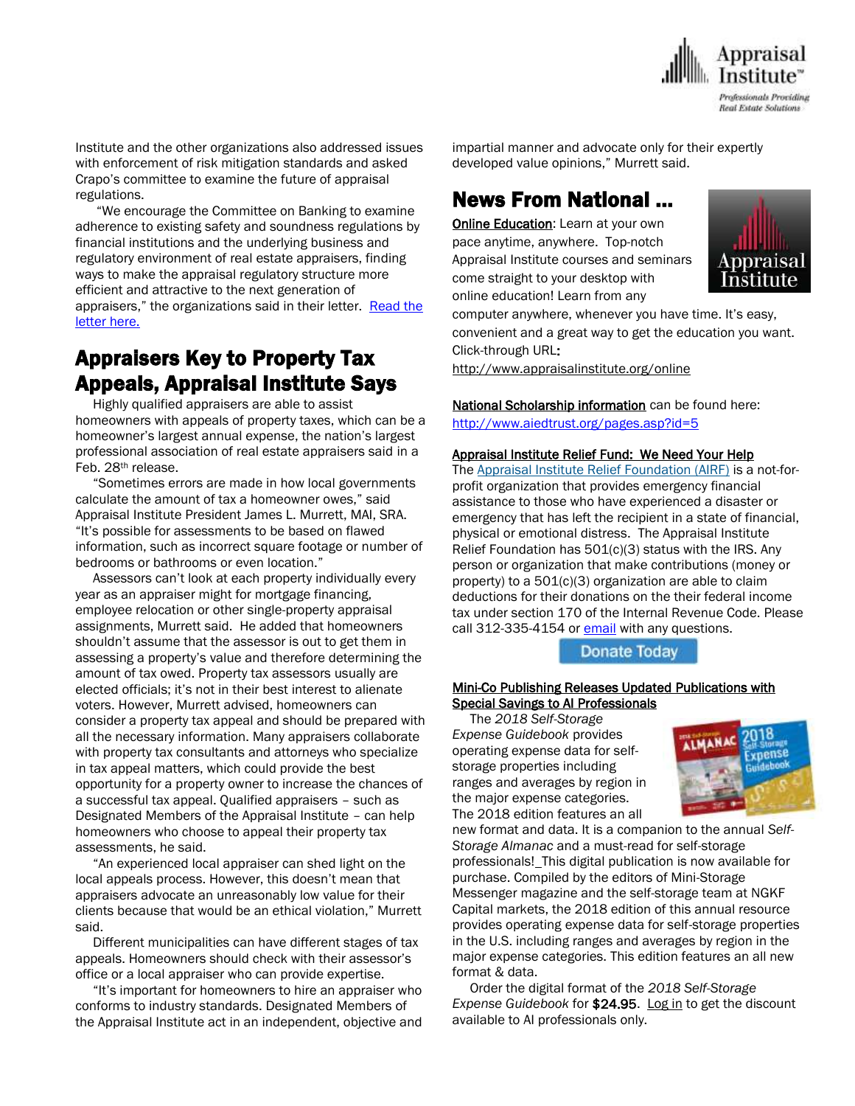

Institute and the other organizations also addressed issues with enforcement of risk mitigation standards and asked Crapo's committee to examine the future of appraisal regulations.

 "We encourage the Committee on Banking to examine adherence to existing safety and soundness regulations by financial institutions and the underlying business and regulatory environment of real estate appraisers, finding ways to make the appraisal regulatory structure more efficient and attractive to the next generation of appraisers," the organizations said in their letter. Read the [letter here.](http://email.prnewswire.com/wf/click?upn=hQPTvM7kmxKCxsdOmvrSxElrh2HOzmAs6nfX8FZccNoWWi08LbYebFcASHj4Dui6TRNfoxe1GrAufGP169WKnHFEtqkG5Oe0sUCxArKoVN9QaTVceZNzxuBRZ4U95xn6rote242Q-2BOZYcMC0gga4k5FKLqIigx8zmx37gZtIzn-2BpCvLgM3-2BbAsXJ9zOBlUxnSlYrU2xprc-2FFE0yUdNpTF4ND1Jx6V8flQbIJgNgN8Iqd550glVEWuGc7nrH8UN-2BUqAjsgLNb1-2Fp-2BxmP6bZPyPQ-3D-3D_YRPfbc9BSCpXKTgdcsJ3-2BdZ9g32aJO-2Biq53XIHTGXdPSCWuUi9-2BY6YFy98ZD0OCM1dFWPhTf5GtMiTgYfWdpZzXX7ZPyTYrE5dRjnyYlDX7-2BGVkIHJNCev0z0pS1iK1LG4OQEJD5o1J1h6WoWOgatwhHeP6WUwmNrs-2BL-2F71BElYzrJTcrpI-2Bn-2F4fYw3PBDbZnCxifU6EleAJOGjogWgfVx648wlEqbyJtddPeN83AoMU0Iefqe8LO5NC0bg3VZztnVmtF9toEGBw3nRVqaS0n-2BJCSpWfgSMO7Yn9zHqDL8IFTKoDV2KXyqktx8A9JzBdnqo1T1K4KJkeyRNfM6O4eA-3D-3D) 

## Appraisers Key to Property Tax Appeals, Appraisal Institute Says

 Highly qualified appraisers are able to assist homeowners with appeals of property taxes, which can be a homeowner's largest annual expense, the nation's largest professional association of real estate appraisers said in a Feb. 28th release.

 "Sometimes errors are made in how local governments calculate the amount of tax a homeowner owes," said Appraisal Institute President James L. Murrett, MAI, SRA. "It's possible for assessments to be based on flawed information, such as incorrect square footage or number of bedrooms or bathrooms or even location."

 Assessors can't look at each property individually every year as an appraiser might for mortgage financing, employee relocation or other single-property appraisal assignments, Murrett said. He added that homeowners shouldn't assume that the assessor is out to get them in assessing a property's value and therefore determining the amount of tax owed. Property tax assessors usually are elected officials; it's not in their best interest to alienate voters. However, Murrett advised, homeowners can consider a property tax appeal and should be prepared with all the necessary information. Many appraisers collaborate with property tax consultants and attorneys who specialize in tax appeal matters, which could provide the best opportunity for a property owner to increase the chances of a successful tax appeal. Qualified appraisers – such as Designated Members of the Appraisal Institute – can help homeowners who choose to appeal their property tax assessments, he said.

 "An experienced local appraiser can shed light on the local appeals process. However, this doesn't mean that appraisers advocate an unreasonably low value for their clients because that would be an ethical violation," Murrett said.

 Different municipalities can have different stages of tax appeals. Homeowners should check with their assessor's office or a local appraiser who can provide expertise.

 "It's important for homeowners to hire an appraiser who conforms to industry standards. Designated Members of the Appraisal Institute act in an independent, objective and impartial manner and advocate only for their expertly developed value opinions," Murrett said.

# News From National …

**[Online Education:](http://www.mmsend50.com/ls.cfm?r=99596491&sid=8974475&m=957997&u=Appraise&s=http://www.appraisalinstitute.org/online)** Learn at your own pace anytime, anywhere. Top-notch Appraisal Institute courses and seminars come straight to your desktop with online education! Learn from any



computer anywhere, whenever you have time. It's easy, convenient and a great way to get the education you want. Click-through URL:

[http://www.appraisalinstitute.org/online](http://www.mmsend50.com/ls.cfm?r=99596491&sid=8974477&m=957997&u=Appraise&s=http://www.appraisalinstitute.org/online)

National Scholarship information can be found here:

<http://www.aiedtrust.org/pages.asp?id=5>

#### Appraisal Institute Relief Fund: We Need Your Help

The [Appraisal Institute Relief Foundation \(AIRF\)](http://send.appraisalinstitute.org/link.cfm?r=b0cu52FEpQ5beQ1mo2g1Ag~~&pe=tk_FHh1loQtdo4qUJyWR5RHLYBx7c0f6WYZDh9hX4VE_7_vzuz4FsVclEUog0MOe55yrZMXkbsOM8IHpG_PQDQ~~) is a not-forprofit organization that provides emergency financial assistance to those who have experienced a disaster or emergency that has left the recipient in a state of financial, physical or emotional distress. The Appraisal Institute Relief Foundation has 501(c)(3) status with the IRS. Any person or organization that make contributions (money or property) to a  $501(c)(3)$  organization are able to claim deductions for their donations on the their federal income tax under section 170 of the Internal Revenue Code. Please call 312-335-4154 or [email](mailto:relieffoundation@appraisalinstitute.org) with any questions.

**Donate Today** 

#### Mini-Co Publishing Releases Updated Publications with Special Savings to AI Professionals

 The *2018 Self-Storage Expense Guidebook* provides operating expense data for selfstorage properties including ranges and averages by region in the major expense categories. The 2018 edition features an all



new format and data. It is a companion to the annual *Self-Storage Almanac* and a must-read for self-storage professionals! This digital publication is now available for purchase. Compiled by the editors of Mini-Storage Messenger magazine and the self-storage team at NGKF Capital markets, the 2018 edition of this annual resource provides operating expense data for self-storage properties in the U.S. including ranges and averages by region in the major expense categories. This edition features an all new format & data.

 Order the digital format of the *2018 Self-Storage Expense Guidebook* for \$24.95. [Log in](http://send.appraisalinstitute.org/link.cfm?r=TyxXOooBFM-9kcaVyjABIA~~&pe=uXRS0meTFLdhDtZHOnyUE8wMYovvVRMGrvQsO-LdzBOEHWCg4HEstrBV4A3oCAiiOPECiU4iDAk1-xisVnPqXg~~&t=za-O8Q9Otl8n-eQ0E8QKgQ~~) to get the discount available to AI professionals only.